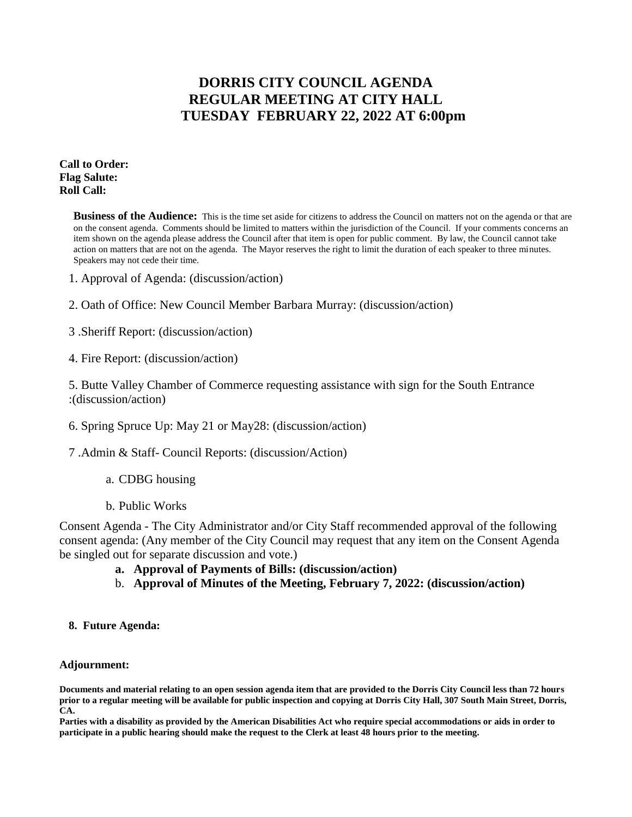## **DORRIS CITY COUNCIL AGENDA REGULAR MEETING AT CITY HALL TUESDAY FEBRUARY 22, 2022 AT 6:00pm**

**Call to Order: Flag Salute: Roll Call:**

> **Business of the Audience:** This is the time set aside for citizens to address the Council on matters not on the agenda or that are on the consent agenda. Comments should be limited to matters within the jurisdiction of the Council. If your comments concerns an item shown on the agenda please address the Council after that item is open for public comment. By law, the Council cannot take action on matters that are not on the agenda. The Mayor reserves the right to limit the duration of each speaker to three minutes. Speakers may not cede their time.

- 1. Approval of Agenda: (discussion/action)
- 2. Oath of Office: New Council Member Barbara Murray: (discussion/action)
- 3 .Sheriff Report: (discussion/action)
- 4. Fire Report: (discussion/action)

5. Butte Valley Chamber of Commerce requesting assistance with sign for the South Entrance :(discussion/action)

- 6. Spring Spruce Up: May 21 or May28: (discussion/action)
- 7 .Admin & Staff- Council Reports: (discussion/Action)
	- a. CDBG housing
	- b. Public Works

Consent Agenda - The City Administrator and/or City Staff recommended approval of the following consent agenda: (Any member of the City Council may request that any item on the Consent Agenda be singled out for separate discussion and vote.)

- **a. Approval of Payments of Bills: (discussion/action)**
- b. **Approval of Minutes of the Meeting, February 7, 2022: (discussion/action)**
- **8. Future Agenda:**

## **Adjournment:**

**Documents and material relating to an open session agenda item that are provided to the Dorris City Council less than 72 hours prior to a regular meeting will be available for public inspection and copying at Dorris City Hall, 307 South Main Street, Dorris, CA.**

**Parties with a disability as provided by the American Disabilities Act who require special accommodations or aids in order to participate in a public hearing should make the request to the Clerk at least 48 hours prior to the meeting.**